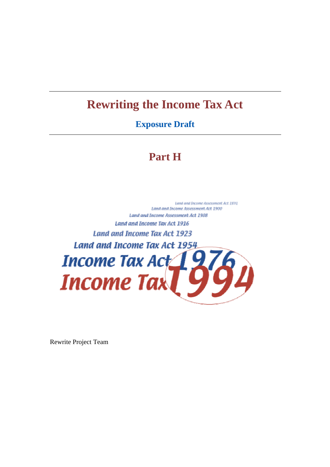# **Rewriting the Income Tax Act**

# **Exposure Draft**

# **Part H**

Land and Income Assessment Act 1891 Land and Income Assessment Act 1900 Land and Income Assessment Act 1908 Land and Income Tax Act 1916 Land and Income Tax Act 1923 Land and Income Tax Act 1954 Income Tax  $Act$  97 **Income Tax** 

Rewrite Project Team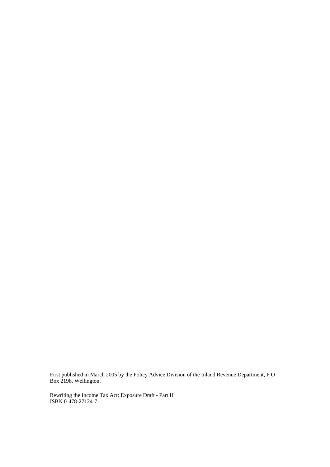First published in March 2005 by the Policy Advice Division of the Inland Revenue Department, P O Box 2198, Wellington.

Rewriting the Income Tax Act: Exposure Draft - Part H ISBN 0-478-27124-7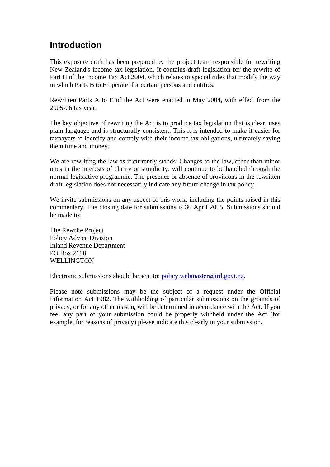# **Introduction**

This exposure draft has been prepared by the project team responsible for rewriting New Zealand's income tax legislation. It contains draft legislation for the rewrite of Part H of the Income Tax Act 2004, which relates to special rules that modify the way in which Parts B to E operate for certain persons and entities.

Rewritten Parts A to E of the Act were enacted in May 2004, with effect from the 2005-06 tax year.

The key objective of rewriting the Act is to produce tax legislation that is clear, uses plain language and is structurally consistent. This it is intended to make it easier for taxpayers to identify and comply with their income tax obligations, ultimately saving them time and money.

We are rewriting the law as it currently stands. Changes to the law, other than minor ones in the interests of clarity or simplicity, will continue to be handled through the normal legislative programme. The presence or absence of provisions in the rewritten draft legislation does not necessarily indicate any future change in tax policy.

We invite submissions on any aspect of this work, including the points raised in this commentary. The closing date for submissions is 30 April 2005. Submissions should be made to:

The Rewrite Project Policy Advice Division Inland Revenue Department PO Box 2198 WELL **INGTON** 

Electronic submissions should be sent to: policy.webmaster@ird.govt.nz.

Please note submissions may be the subject of a request under the Official Information Act 1982. The withholding of particular submissions on the grounds of privacy, or for any other reason, will be determined in accordance with the Act. If you feel any part of your submission could be properly withheld under the Act (for example, for reasons of privacy) please indicate this clearly in your submission.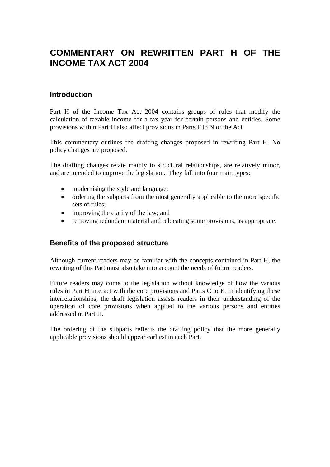# **COMMENTARY ON REWRITTEN PART H OF THE INCOME TAX ACT 2004**

#### **Introduction**

Part H of the Income Tax Act 2004 contains groups of rules that modify the calculation of taxable income for a tax year for certain persons and entities. Some provisions within Part H also affect provisions in Parts F to N of the Act.

This commentary outlines the drafting changes proposed in rewriting Part H. No policy changes are proposed.

The drafting changes relate mainly to structural relationships, are relatively minor, and are intended to improve the legislation. They fall into four main types:

- modernising the style and language;
- ordering the subparts from the most generally applicable to the more specific sets of rules;
- improving the clarity of the law; and
- removing redundant material and relocating some provisions, as appropriate.

#### **Benefits of the proposed structure**

Although current readers may be familiar with the concepts contained in Part H, the rewriting of this Part must also take into account the needs of future readers.

Future readers may come to the legislation without knowledge of how the various rules in Part H interact with the core provisions and Parts C to E. In identifying these interrelationships, the draft legislation assists readers in their understanding of the operation of core provisions when applied to the various persons and entities addressed in Part H.

The ordering of the subparts reflects the drafting policy that the more generally applicable provisions should appear earliest in each Part.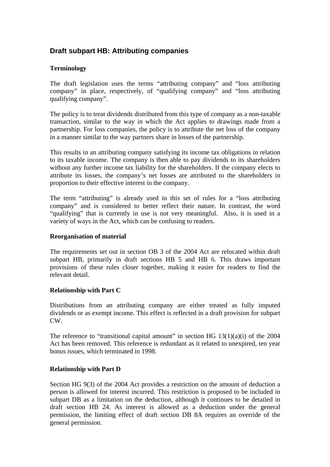# **Draft subpart HB: Attributing companies**

#### **Terminology**

The draft legislation uses the terms "attributing company" and "loss attributing company" in place, respectively, of "qualifying company" and "loss attributing qualifying company".

The policy is to treat dividends distributed from this type of company as a non-taxable transaction, similar to the way in which the Act applies to drawings made from a partnership. For loss companies, the policy is to attribute the net loss of the company in a manner similar to the way partners share in losses of the partnership.

This results in an attributing company satisfying its income tax obligations in relation to its taxable income. The company is then able to pay dividends to its shareholders without any further income tax liability for the shareholders. If the company elects to attribute its losses, the company's net losses are attributed to the shareholders in proportion to their effective interest in the company.

The term "attributing" is already used in this set of rules for a "loss attributing company" and is considered to better reflect their nature. In contrast, the word "qualifying" that is currently in use is not very meaningful. Also, it is used in a variety of ways in the Act, which can be confusing to readers.

#### **Reorganisation of material**

The requirements set out in section OB 3 of the 2004 Act are relocated within draft subpart HB, primarily in draft sections HB 5 and HB 6. This draws important provisions of these rules closer together, making it easier for readers to find the relevant detail.

#### **Relationship with Part C**

Distributions from an attributing company are either treated as fully imputed dividends or as exempt income. This effect is reflected in a draft provision for subpart  $\overline{\text{CW}}$ 

The reference to "transitional capital amount" in section HG  $13(1)(a)(i)$  of the 2004 Act has been removed. This reference is redundant as it related to unexpired, ten year bonus issues, which terminated in 1998.

#### **Relationship with Part D**

Section HG 9(3) of the 2004 Act provides a restriction on the amount of deduction a person is allowed for interest incurred. This restriction is proposed to be included in subpart DB as a limitation on the deduction, although it continues to be detailed in draft section HB 24. As interest is allowed as a deduction under the general permission, the limiting effect of draft section DB 8A requires an override of the general permission.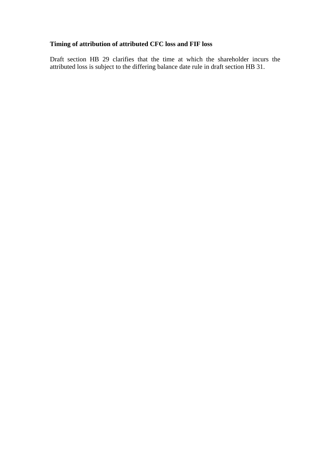# **Timing of attribution of attributed CFC loss and FIF loss**

Draft section HB 29 clarifies that the time at which the shareholder incurs the attributed loss is subject to the differing balance date rule in draft section HB 31.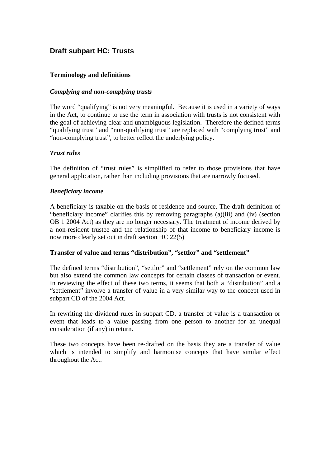## **Draft subpart HC: Trusts**

#### **Terminology and definitions**

#### *Complying and non-complying trusts*

The word "qualifying" is not very meaningful. Because it is used in a variety of ways in the Act, to continue to use the term in association with trusts is not consistent with the goal of achieving clear and unambiguous legislation. Therefore the defined terms "qualifying trust" and "non-qualifying trust" are replaced with "complying trust" and "non-complying trust", to better reflect the underlying policy.

#### *Trust rules*

The definition of "trust rules" is simplified to refer to those provisions that have general application, rather than including provisions that are narrowly focused.

#### *Beneficiary income*

A beneficiary is taxable on the basis of residence and source. The draft definition of "beneficiary income" clarifies this by removing paragraphs (a)(iii) and (iv) (section OB 1 2004 Act) as they are no longer necessary. The treatment of income derived by a non-resident trustee and the relationship of that income to beneficiary income is now more clearly set out in draft section HC 22(5)

#### **Transfer of value and terms "distribution", "settlor" and "settlement"**

The defined terms "distribution", "settlor" and "settlement" rely on the common law but also extend the common law concepts for certain classes of transaction or event. In reviewing the effect of these two terms, it seems that both a "distribution" and a "settlement" involve a transfer of value in a very similar way to the concept used in subpart CD of the 2004 Act.

In rewriting the dividend rules in subpart CD, a transfer of value is a transaction or event that leads to a value passing from one person to another for an unequal consideration (if any) in return.

These two concepts have been re-drafted on the basis they are a transfer of value which is intended to simplify and harmonise concepts that have similar effect throughout the Act.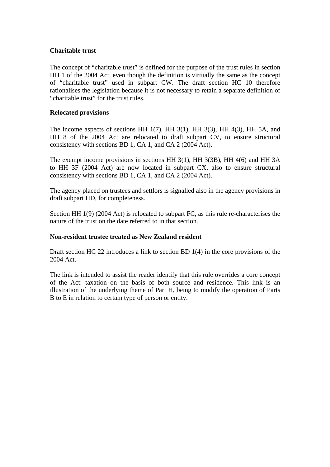#### **Charitable trust**

The concept of "charitable trust" is defined for the purpose of the trust rules in section HH 1 of the 2004 Act, even though the definition is virtually the same as the concept of "charitable trust" used in subpart CW. The draft section HC 10 therefore rationalises the legislation because it is not necessary to retain a separate definition of "charitable trust" for the trust rules.

#### **Relocated provisions**

The income aspects of sections HH 1(7), HH 3(1), HH 3(3), HH 4(3), HH 5A, and HH 8 of the 2004 Act are relocated to draft subpart CV, to ensure structural consistency with sections BD 1, CA 1, and CA 2 (2004 Act).

The exempt income provisions in sections HH 3(1), HH 3(3B), HH 4(6) and HH 3A to HH 3F (2004 Act) are now located in subpart CX, also to ensure structural consistency with sections BD 1, CA 1, and CA 2 (2004 Act).

The agency placed on trustees and settlors is signalled also in the agency provisions in draft subpart HD, for completeness.

Section HH 1(9) (2004 Act) is relocated to subpart FC, as this rule re-characterises the nature of the trust on the date referred to in that section.

#### **Non-resident trustee treated as New Zealand resident**

Draft section HC 22 introduces a link to section BD 1(4) in the core provisions of the 2004 Act.

The link is intended to assist the reader identify that this rule overrides a core concept of the Act: taxation on the basis of both source and residence. This link is an illustration of the underlying theme of Part H, being to modify the operation of Parts B to E in relation to certain type of person or entity.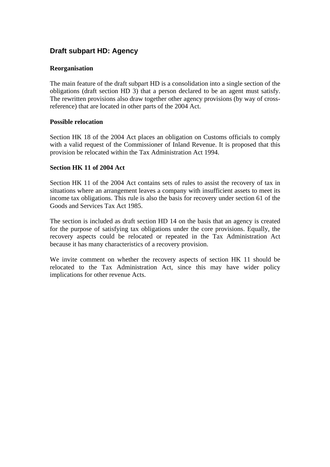## **Draft subpart HD: Agency**

#### **Reorganisation**

The main feature of the draft subpart HD is a consolidation into a single section of the obligations (draft section HD 3) that a person declared to be an agent must satisfy. The rewritten provisions also draw together other agency provisions (by way of crossreference) that are located in other parts of the 2004 Act.

#### **Possible relocation**

Section HK 18 of the 2004 Act places an obligation on Customs officials to comply with a valid request of the Commissioner of Inland Revenue. It is proposed that this provision be relocated within the Tax Administration Act 1994.

#### **Section HK 11 of 2004 Act**

Section HK 11 of the 2004 Act contains sets of rules to assist the recovery of tax in situations where an arrangement leaves a company with insufficient assets to meet its income tax obligations. This rule is also the basis for recovery under section 61 of the Goods and Services Tax Act 1985.

The section is included as draft section HD 14 on the basis that an agency is created for the purpose of satisfying tax obligations under the core provisions. Equally, the recovery aspects could be relocated or repeated in the Tax Administration Act because it has many characteristics of a recovery provision.

We invite comment on whether the recovery aspects of section HK 11 should be relocated to the Tax Administration Act, since this may have wider policy implications for other revenue Acts.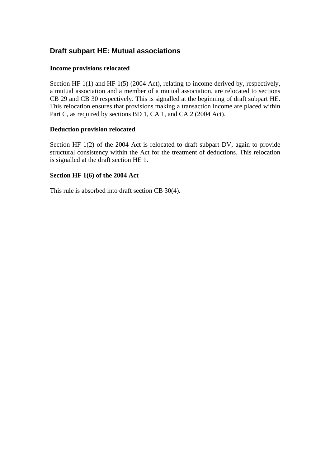### **Draft subpart HE: Mutual associations**

#### **Income provisions relocated**

Section HF 1(1) and HF 1(5) (2004 Act), relating to income derived by, respectively, a mutual association and a member of a mutual association, are relocated to sections CB 29 and CB 30 respectively. This is signalled at the beginning of draft subpart HE. This relocation ensures that provisions making a transaction income are placed within Part C, as required by sections BD 1, CA 1, and CA 2 (2004 Act).

#### **Deduction provision relocated**

Section HF 1(2) of the 2004 Act is relocated to draft subpart DV, again to provide structural consistency within the Act for the treatment of deductions. This relocation is signalled at the draft section HE 1.

#### **Section HF 1(6) of the 2004 Act**

This rule is absorbed into draft section CB 30(4).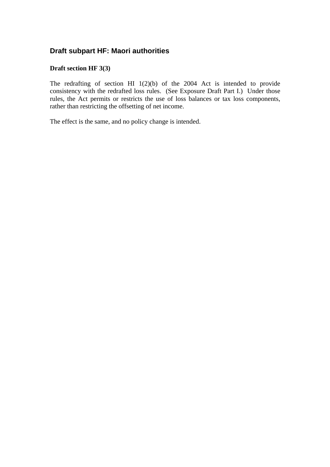### **Draft subpart HF: Maori authorities**

#### **Draft section HF 3(3)**

The redrafting of section HI 1(2)(b) of the 2004 Act is intended to provide consistency with the redrafted loss rules. (See Exposure Draft Part I.) Under those rules, the Act permits or restricts the use of loss balances or tax loss components, rather than restricting the offsetting of net income.

The effect is the same, and no policy change is intended.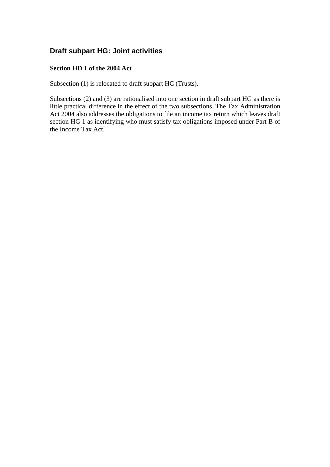### **Draft subpart HG: Joint activities**

#### **Section HD 1 of the 2004 Act**

Subsection (1) is relocated to draft subpart HC (Trusts).

Subsections (2) and (3) are rationalised into one section in draft subpart HG as there is little practical difference in the effect of the two subsections. The Tax Administration Act 2004 also addresses the obligations to file an income tax return which leaves draft section HG 1 as identifying who must satisfy tax obligations imposed under Part B of the Income Tax Act.